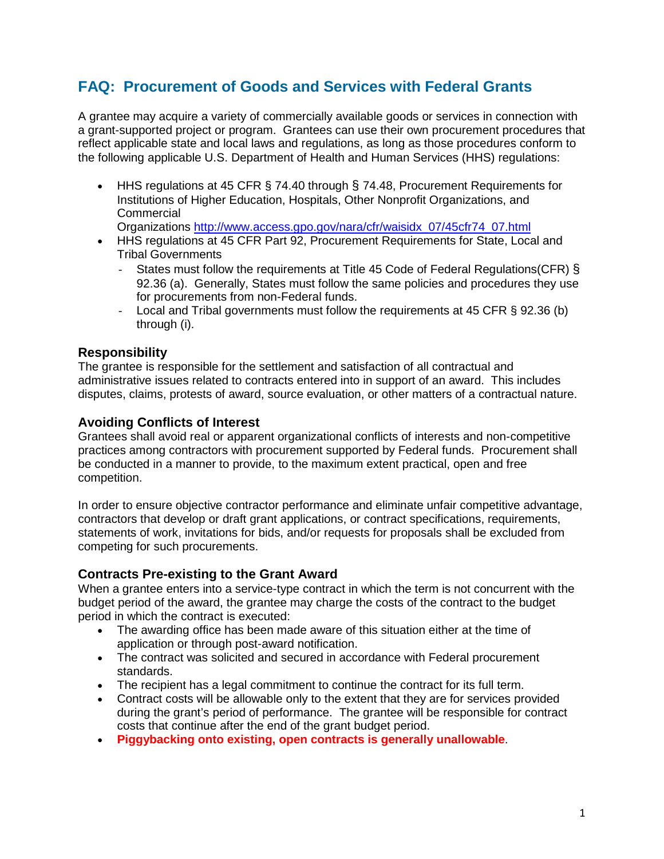# **FAQ: Procurement of Goods and Services with Federal Grants**

A grantee may acquire a variety of commercially available goods or services in connection with a grant-supported project or program. Grantees can use their own procurement procedures that reflect applicable state and local laws and regulations, as long as those procedures conform to the following applicable U.S. Department of Health and Human Services (HHS) regulations:

- HHS regulations at 45 CFR § 74.40 through § 74.48, Procurement Requirements for Institutions of Higher Education, Hospitals, Other Nonprofit Organizations, and **Commercial** 
	- Organizations [http://www.access.gpo.gov/nara/cfr/waisidx\\_07/45cfr74\\_07.html](http://www.access.gpo.gov/nara/cfr/waisidx_07/45cfr74_07.html)
- HHS regulations at 45 CFR Part 92, Procurement Requirements for State, Local and Tribal Governments
	- States must follow the requirements at Title 45 Code of Federal Regulations(CFR) § 92.36 (a). Generally, States must follow the same policies and procedures they use for procurements from non-Federal funds.
	- Local and Tribal governments must follow the requirements at 45 CFR § 92.36 (b) through (i).

# **Responsibility**

The grantee is responsible for the settlement and satisfaction of all contractual and administrative issues related to contracts entered into in support of an award. This includes disputes, claims, protests of award, source evaluation, or other matters of a contractual nature.

#### **Avoiding Conflicts of Interest**

Grantees shall avoid real or apparent organizational conflicts of interests and non-competitive practices among contractors with procurement supported by Federal funds. Procurement shall be conducted in a manner to provide, to the maximum extent practical, open and free competition.

In order to ensure objective contractor performance and eliminate unfair competitive advantage, contractors that develop or draft grant applications, or contract specifications, requirements, statements of work, invitations for bids, and/or requests for proposals shall be excluded from competing for such procurements.

#### **Contracts Pre-existing to the Grant Award**

When a grantee enters into a service-type contract in which the term is not concurrent with the budget period of the award, the grantee may charge the costs of the contract to the budget period in which the contract is executed:

- The awarding office has been made aware of this situation either at the time of application or through post-award notification.
- The contract was solicited and secured in accordance with Federal procurement standards.
- The recipient has a legal commitment to continue the contract for its full term.
- Contract costs will be allowable only to the extent that they are for services provided during the grant's period of performance. The grantee will be responsible for contract costs that continue after the end of the grant budget period.
- **Piggybacking onto existing, open contracts is generally unallowable**.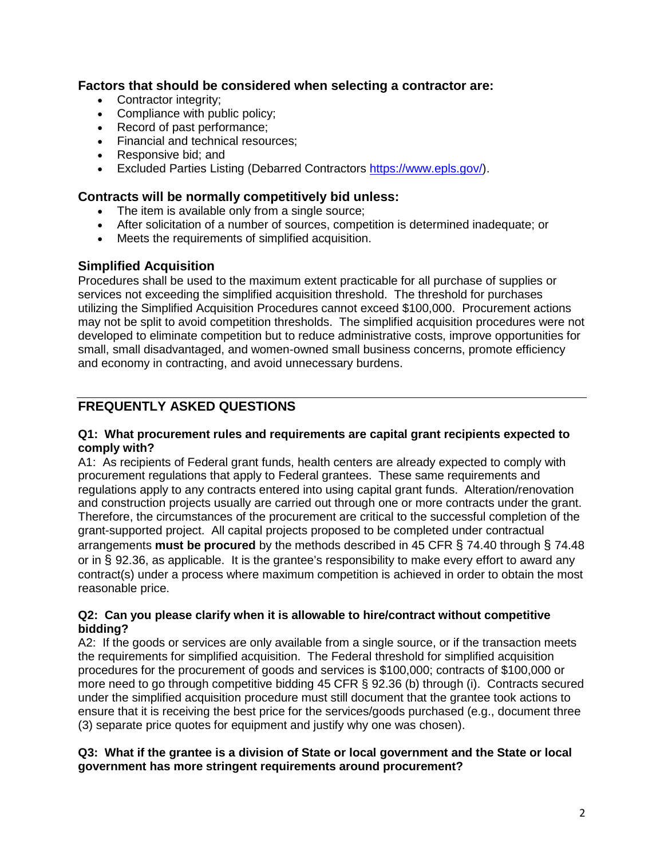# **Factors that should be considered when selecting a contractor are:**

- Contractor integrity:
- Compliance with public policy;
- Record of past performance;
- Financial and technical resources;
- Responsive bid; and
- Excluded Parties Listing (Debarred Contractors [https://www.epls.gov/\)](https://www.epls.gov/).

#### **Contracts will be normally competitively bid unless:**

- The item is available only from a single source;
- After solicitation of a number of sources, competition is determined inadequate; or
- Meets the requirements of simplified acquisition.

# **Simplified Acquisition**

Procedures shall be used to the maximum extent practicable for all purchase of supplies or services not exceeding the simplified acquisition threshold. The threshold for purchases utilizing the Simplified Acquisition Procedures cannot exceed \$100,000. Procurement actions may not be split to avoid competition thresholds. The simplified acquisition procedures were not developed to eliminate competition but to reduce administrative costs, improve opportunities for small, small disadvantaged, and women-owned small business concerns, promote efficiency and economy in contracting, and avoid unnecessary burdens.

# **FREQUENTLY ASKED QUESTIONS**

#### **Q1: What procurement rules and requirements are capital grant recipients expected to comply with?**

A1: As recipients of Federal grant funds, health centers are already expected to comply with procurement regulations that apply to Federal grantees. These same requirements and regulations apply to any contracts entered into using capital grant funds. Alteration/renovation and construction projects usually are carried out through one or more contracts under the grant. Therefore, the circumstances of the procurement are critical to the successful completion of the grant-supported project. All capital projects proposed to be completed under contractual arrangements **must be procured** by the methods described in 45 CFR § 74.40 through § 74.48 or in § 92.36, as applicable. It is the grantee's responsibility to make every effort to award any contract(s) under a process where maximum competition is achieved in order to obtain the most reasonable price.

#### **Q2: Can you please clarify when it is allowable to hire/contract without competitive bidding?**

A2: If the goods or services are only available from a single source, or if the transaction meets the requirements for simplified acquisition. The Federal threshold for simplified acquisition procedures for the procurement of goods and services is \$100,000; contracts of \$100,000 or more need to go through competitive bidding 45 CFR § 92.36 (b) through (i). Contracts secured under the simplified acquisition procedure must still document that the grantee took actions to ensure that it is receiving the best price for the services/goods purchased (e.g., document three (3) separate price quotes for equipment and justify why one was chosen).

#### **Q3: What if the grantee is a division of State or local government and the State or local government has more stringent requirements around procurement?**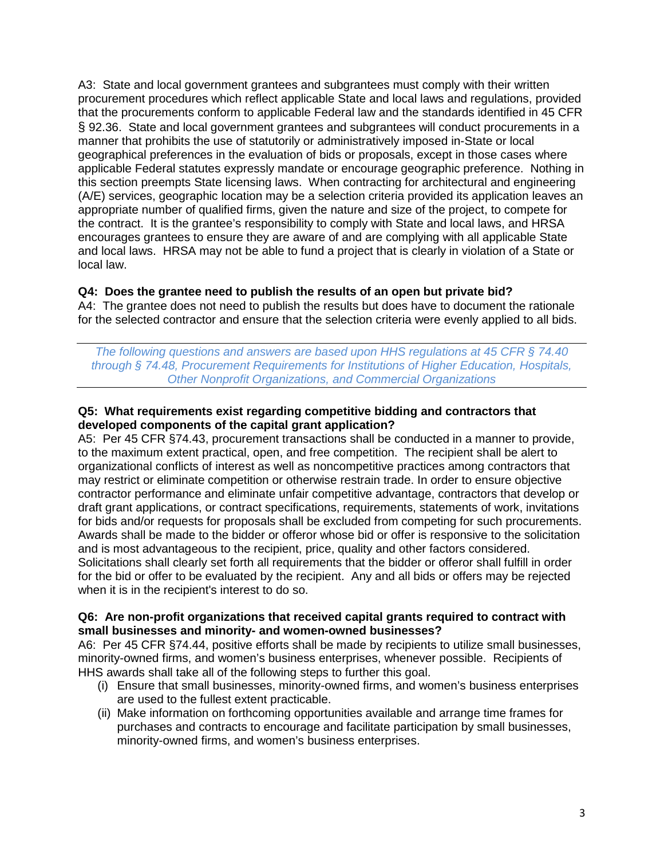A3: State and local government grantees and subgrantees must comply with their written procurement procedures which reflect applicable State and local laws and regulations, provided that the procurements conform to applicable Federal law and the standards identified in 45 CFR § 92.36. State and local government grantees and subgrantees will conduct procurements in a manner that prohibits the use of statutorily or administratively imposed in-State or local geographical preferences in the evaluation of bids or proposals, except in those cases where applicable Federal statutes expressly mandate or encourage geographic preference. Nothing in this section preempts State licensing laws. When contracting for architectural and engineering (A/E) services, geographic location may be a selection criteria provided its application leaves an appropriate number of qualified firms, given the nature and size of the project, to compete for the contract. It is the grantee's responsibility to comply with State and local laws, and HRSA encourages grantees to ensure they are aware of and are complying with all applicable State and local laws. HRSA may not be able to fund a project that is clearly in violation of a State or local law.

#### **Q4: Does the grantee need to publish the results of an open but private bid?**

A4: The grantee does not need to publish the results but does have to document the rationale for the selected contractor and ensure that the selection criteria were evenly applied to all bids.

*The following questions and answers are based upon HHS regulations at 45 CFR § 74.40 through § 74.48, Procurement Requirements for Institutions of Higher Education, Hospitals, Other Nonprofit Organizations, and Commercial Organizations*

#### **Q5: What requirements exist regarding competitive bidding and contractors that developed components of the capital grant application?**

A5: Per 45 CFR §74.43, procurement transactions shall be conducted in a manner to provide, to the maximum extent practical, open, and free competition. The recipient shall be alert to organizational conflicts of interest as well as noncompetitive practices among contractors that may restrict or eliminate competition or otherwise restrain trade. In order to ensure objective contractor performance and eliminate unfair competitive advantage, contractors that develop or draft grant applications, or contract specifications, requirements, statements of work, invitations for bids and/or requests for proposals shall be excluded from competing for such procurements. Awards shall be made to the bidder or offeror whose bid or offer is responsive to the solicitation and is most advantageous to the recipient, price, quality and other factors considered. Solicitations shall clearly set forth all requirements that the bidder or offeror shall fulfill in order for the bid or offer to be evaluated by the recipient. Any and all bids or offers may be rejected when it is in the recipient's interest to do so.

#### **Q6: Are non-profit organizations that received capital grants required to contract with small businesses and minority- and women-owned businesses?**

A6: Per 45 CFR §74.44, positive efforts shall be made by recipients to utilize small businesses, minority-owned firms, and women's business enterprises, whenever possible. Recipients of HHS awards shall take all of the following steps to further this goal.

- (i) Ensure that small businesses, minority-owned firms, and women's business enterprises are used to the fullest extent practicable.
- (ii) Make information on forthcoming opportunities available and arrange time frames for purchases and contracts to encourage and facilitate participation by small businesses, minority-owned firms, and women's business enterprises.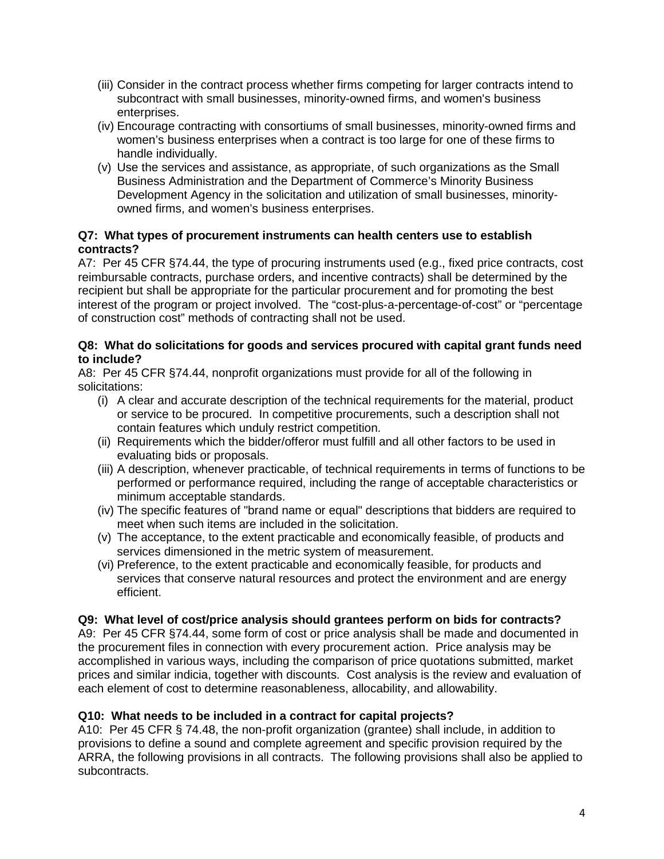- (iii) Consider in the contract process whether firms competing for larger contracts intend to subcontract with small businesses, minority-owned firms, and women's business enterprises.
- (iv) Encourage contracting with consortiums of small businesses, minority-owned firms and women's business enterprises when a contract is too large for one of these firms to handle individually.
- (v) Use the services and assistance, as appropriate, of such organizations as the Small Business Administration and the Department of Commerce's Minority Business Development Agency in the solicitation and utilization of small businesses, minorityowned firms, and women's business enterprises.

#### **Q7: What types of procurement instruments can health centers use to establish contracts?**

A7: Per 45 CFR §74.44, the type of procuring instruments used (e.g., fixed price contracts, cost reimbursable contracts, purchase orders, and incentive contracts) shall be determined by the recipient but shall be appropriate for the particular procurement and for promoting the best interest of the program or project involved. The "cost-plus-a-percentage-of-cost" or "percentage of construction cost" methods of contracting shall not be used.

#### **Q8: What do solicitations for goods and services procured with capital grant funds need to include?**

A8: Per 45 CFR §74.44, nonprofit organizations must provide for all of the following in solicitations:

- (i) A clear and accurate description of the technical requirements for the material, product or service to be procured. In competitive procurements, such a description shall not contain features which unduly restrict competition.
- (ii) Requirements which the bidder/offeror must fulfill and all other factors to be used in evaluating bids or proposals.
- (iii) A description, whenever practicable, of technical requirements in terms of functions to be performed or performance required, including the range of acceptable characteristics or minimum acceptable standards.
- (iv) The specific features of "brand name or equal" descriptions that bidders are required to meet when such items are included in the solicitation.
- (v) The acceptance, to the extent practicable and economically feasible, of products and services dimensioned in the metric system of measurement.
- (vi) Preference, to the extent practicable and economically feasible, for products and services that conserve natural resources and protect the environment and are energy efficient.

# **Q9: What level of cost/price analysis should grantees perform on bids for contracts?**

A9: Per 45 CFR §74.44, some form of cost or price analysis shall be made and documented in the procurement files in connection with every procurement action. Price analysis may be accomplished in various ways, including the comparison of price quotations submitted, market prices and similar indicia, together with discounts. Cost analysis is the review and evaluation of each element of cost to determine reasonableness, allocability, and allowability.

# **Q10: What needs to be included in a contract for capital projects?**

A10: Per 45 CFR § 74.48, the non-profit organization (grantee) shall include, in addition to provisions to define a sound and complete agreement and specific provision required by the ARRA, the following provisions in all contracts. The following provisions shall also be applied to subcontracts.